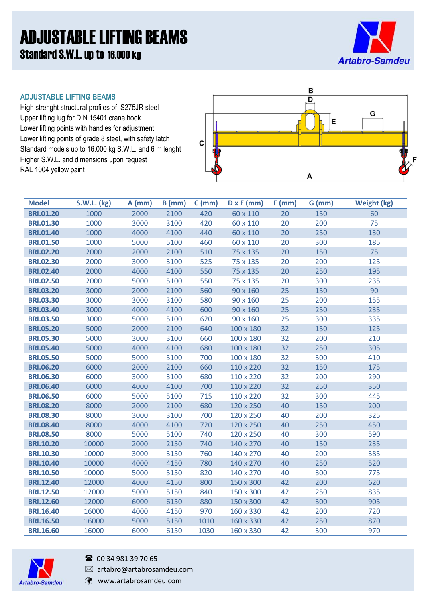# ADJUSTABLE LIFTING BEAMS Standard S.W.L. up to 16.000 kg



#### **ADJUSTABLE LIFTING BEAMS**

High strenght structural profiles of S275JR steel Upper lifting lug for DIN 15401 crane hook Lower lifting points with handles for adjustment Lower lifting points of grade 8 steel, with safety latch Standard models up to 16.000 kg S.W.L. and 6 m lenght Higher S.W.L. and dimensions upon request RAL 1004 yellow paint



| <b>Model</b>     | <b>S.W.L. (kg)</b> | $A$ (mm) | $B$ (mm) | $C$ (mm) | $D \times E$ (mm) | $F$ (mm) | $G$ (mm) | <b>Weight (kg)</b> |
|------------------|--------------------|----------|----------|----------|-------------------|----------|----------|--------------------|
| <b>BRI.01.20</b> | 1000               | 2000     | 2100     | 420      | 60 x 110          | 20       | 150      | 60                 |
| <b>BRI.01.30</b> | 1000               | 3000     | 3100     | 420      | 60 x 110          | 20       | 200      | 75                 |
| <b>BRI.01.40</b> | 1000               | 4000     | 4100     | 440      | 60 x 110          | 20       | 250      | 130                |
| <b>BRI.01.50</b> | 1000               | 5000     | 5100     | 460      | 60 x 110          | 20       | 300      | 185                |
| <b>BRI.02.20</b> | 2000               | 2000     | 2100     | 510      | 75 x 135          | 20       | 150      | 75                 |
| <b>BRI.02.30</b> | 2000               | 3000     | 3100     | 525      | 75 x 135          | 20       | 200      | 125                |
| <b>BRI.02.40</b> | 2000               | 4000     | 4100     | 550      | 75 x 135          | 20       | 250      | 195                |
| <b>BRI.02.50</b> | 2000               | 5000     | 5100     | 550      | 75 x 135          | 20       | 300      | 235                |
| <b>BRI.03.20</b> | 3000               | 2000     | 2100     | 560      | 90 x 160          | 25       | 150      | 90                 |
| <b>BRI.03.30</b> | 3000               | 3000     | 3100     | 580      | 90 x 160          | 25       | 200      | 155                |
| <b>BRI.03.40</b> | 3000               | 4000     | 4100     | 600      | 90 x 160          | 25       | 250      | 235                |
| <b>BRI.03.50</b> | 3000               | 5000     | 5100     | 620      | 90 x 160          | 25       | 300      | 335                |
| <b>BRI.05.20</b> | 5000               | 2000     | 2100     | 640      | 100 x 180         | 32       | 150      | 125                |
| <b>BRI.05.30</b> | 5000               | 3000     | 3100     | 660      | 100 x 180         | 32       | 200      | 210                |
| <b>BRI.05.40</b> | 5000               | 4000     | 4100     | 680      | 100 x 180         | 32       | 250      | 305                |
| <b>BRI.05.50</b> | 5000               | 5000     | 5100     | 700      | 100 x 180         | 32       | 300      | 410                |
| <b>BRI.06.20</b> | 6000               | 2000     | 2100     | 660      | 110 x 220         | 32       | 150      | 175                |
| <b>BRI.06.30</b> | 6000               | 3000     | 3100     | 680      | 110 x 220         | 32       | 200      | 290                |
| <b>BRI.06.40</b> | 6000               | 4000     | 4100     | 700      | 110 x 220         | 32       | 250      | 350                |
| <b>BRI.06.50</b> | 6000               | 5000     | 5100     | 715      | 110 x 220         | 32       | 300      | 445                |
| <b>BRI.08.20</b> | 8000               | 2000     | 2100     | 680      | 120 x 250         | 40       | 150      | 200                |
| <b>BRI.08.30</b> | 8000               | 3000     | 3100     | 700      | 120 x 250         | 40       | 200      | 325                |
| <b>BRI.08.40</b> | 8000               | 4000     | 4100     | 720      | 120 x 250         | 40       | 250      | 450                |
| <b>BRI.08.50</b> | 8000               | 5000     | 5100     | 740      | 120 x 250         | 40       | 300      | 590                |
| <b>BRI.10.20</b> | 10000              | 2000     | 2150     | 740      | 140 x 270         | 40       | 150      | 235                |
| <b>BRI.10.30</b> | 10000              | 3000     | 3150     | 760      | 140 x 270         | 40       | 200      | 385                |
| <b>BRI.10.40</b> | 10000              | 4000     | 4150     | 780      | 140 x 270         | 40       | 250      | 520                |
| <b>BRI.10.50</b> | 10000              | 5000     | 5150     | 820      | 140 x 270         | 40       | 300      | 775                |
| <b>BRI.12.40</b> | 12000              | 4000     | 4150     | 800      | 150 x 300         | 42       | 200      | 620                |
| <b>BRI.12.50</b> | 12000              | 5000     | 5150     | 840      | 150 x 300         | 42       | 250      | 835                |
| <b>BRI.12.60</b> | 12000              | 6000     | 6150     | 880      | 150 x 300         | 42       | 300      | 905                |
| <b>BRI.16.40</b> | 16000              | 4000     | 4150     | 970      | 160 x 330         | 42       | 200      | 720                |
| <b>BRI.16.50</b> | 16000              | 5000     | 5150     | 1010     | 160 x 330         | 42       | 250      | 870                |
| <b>BRI.16.60</b> | 16000              | 6000     | 6150     | 1030     | 160 x 330         | 42       | 300      | 970                |



## <sup>3</sup> 00 34 981 39 70 65

 $\boxtimes$  artabro@artabrosamdeu.com

www.artabrosamdeu.com